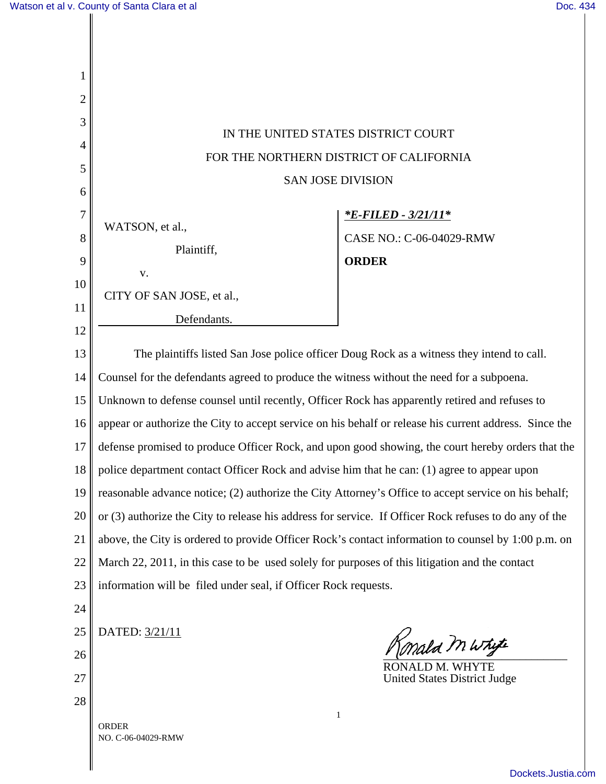| 1              |                                                                                                        |                                                                                           |
|----------------|--------------------------------------------------------------------------------------------------------|-------------------------------------------------------------------------------------------|
| $\overline{2}$ |                                                                                                        |                                                                                           |
| 3              | IN THE UNITED STATES DISTRICT COURT                                                                    |                                                                                           |
| 4              | FOR THE NORTHERN DISTRICT OF CALIFORNIA                                                                |                                                                                           |
| 5              |                                                                                                        |                                                                                           |
| 6              | <b>SAN JOSE DIVISION</b>                                                                               |                                                                                           |
| $\overline{7}$ |                                                                                                        | <u>*E-FILED - 3/21/11*</u>                                                                |
| 8              | WATSON, et al.,                                                                                        | CASE NO.: C-06-04029-RMW                                                                  |
| 9              | Plaintiff,                                                                                             | <b>ORDER</b>                                                                              |
| 10             | V.                                                                                                     |                                                                                           |
| 11             | CITY OF SAN JOSE, et al.,                                                                              |                                                                                           |
| 12             | Defendants.                                                                                            |                                                                                           |
| 13             |                                                                                                        | The plaintiffs listed San Jose police officer Doug Rock as a witness they intend to call. |
| 14             | Counsel for the defendants agreed to produce the witness without the need for a subpoena.              |                                                                                           |
|                |                                                                                                        |                                                                                           |
| 15             | Unknown to defense counsel until recently, Officer Rock has apparently retired and refuses to          |                                                                                           |
| 16             | appear or authorize the City to accept service on his behalf or release his current address. Since the |                                                                                           |
| 17             | defense promised to produce Officer Rock, and upon good showing, the court hereby orders that the      |                                                                                           |
| 18             | police department contact Officer Rock and advise him that he can: (1) agree to appear upon            |                                                                                           |
| 19             | reasonable advance notice; (2) authorize the City Attorney's Office to accept service on his behalf;   |                                                                                           |
| 20             | or (3) authorize the City to release his address for service. If Officer Rock refuses to do any of the |                                                                                           |
| 21             | above, the City is ordered to provide Officer Rock's contact information to counsel by 1:00 p.m. on    |                                                                                           |
| 22             | March 22, 2011, in this case to be used solely for purposes of this litigation and the contact         |                                                                                           |
| 23             | information will be filed under seal, if Officer Rock requests.                                        |                                                                                           |
| 24             |                                                                                                        |                                                                                           |
| 25             | DATED: 3/21/11                                                                                         |                                                                                           |
| 26             |                                                                                                        | Konald M Whyte                                                                            |
| 27             |                                                                                                        | RONALD M. WHYTE<br><b>United States District Judge</b>                                    |
| 28             |                                                                                                        |                                                                                           |
|                | <b>ORDER</b>                                                                                           | $\mathbf{1}$                                                                              |
|                | NO. C-06-04029-RMW                                                                                     |                                                                                           |

[Dockets.Justia.com](http://dockets.justia.com/)